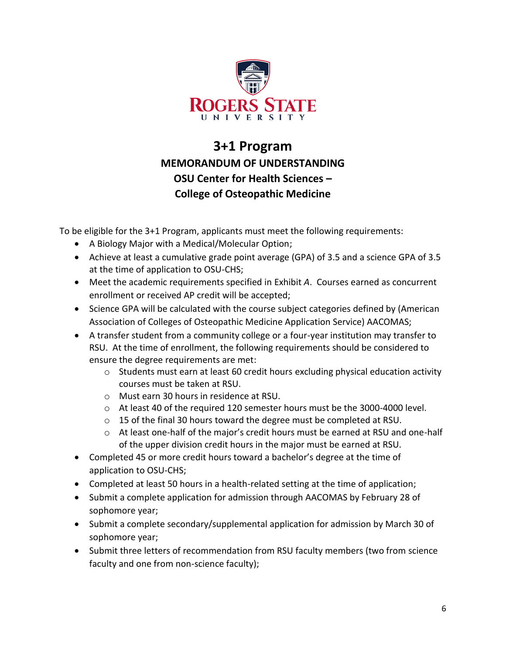

## **3+1 Program MEMORANDUM OF UNDERSTANDING OSU Center for Health Sciences – College of Osteopathic Medicine**

To be eligible for the 3+1 Program, applicants must meet the following requirements:

- A Biology Major with a Medical/Molecular Option;
- Achieve at least a cumulative grade point average (GPA) of 3.5 and a science GPA of 3.5 at the time of application to OSU-CHS;
- Meet the academic requirements specified in Exhibit *A*. Courses earned as concurrent enrollment or received AP credit will be accepted;
- Science GPA will be calculated with the course subject categories defined by (American Association of Colleges of Osteopathic Medicine Application Service) AACOMAS;
- A transfer student from a community college or a four-year institution may transfer to RSU. At the time of enrollment, the following requirements should be considered to ensure the degree requirements are met:
	- o Students must earn at least 60 credit hours excluding physical education activity courses must be taken at RSU.
	- o Must earn 30 hours in residence at RSU.
	- o At least 40 of the required 120 semester hours must be the 3000-4000 level.
	- o 15 of the final 30 hours toward the degree must be completed at RSU.
	- o At least one-half of the major's credit hours must be earned at RSU and one-half of the upper division credit hours in the major must be earned at RSU.
- Completed 45 or more credit hours toward a bachelor's degree at the time of application to OSU-CHS;
- Completed at least 50 hours in a health-related setting at the time of application;
- Submit a complete application for admission through AACOMAS by February 28 of sophomore year;
- Submit a complete secondary/supplemental application for admission by March 30 of sophomore year;
- Submit three letters of recommendation from RSU faculty members (two from science faculty and one from non-science faculty);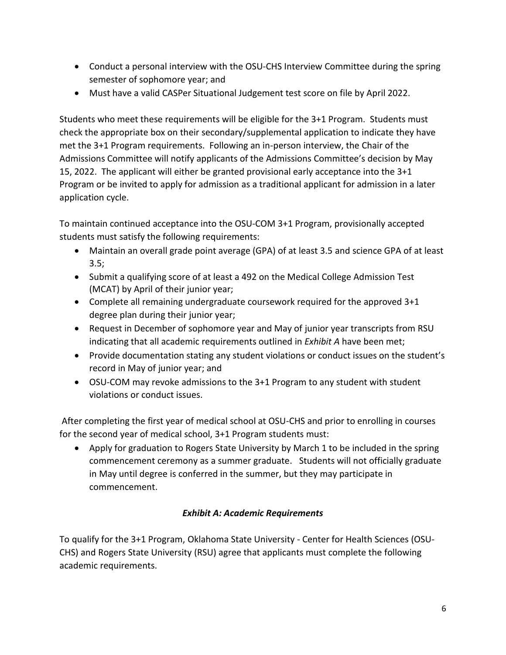- Conduct a personal interview with the OSU-CHS Interview Committee during the spring semester of sophomore year; and
- Must have a valid CASPer Situational Judgement test score on file by April 2022.

Students who meet these requirements will be eligible for the 3+1 Program. Students must check the appropriate box on their secondary/supplemental application to indicate they have met the 3+1 Program requirements. Following an in-person interview, the Chair of the Admissions Committee will notify applicants of the Admissions Committee's decision by May 15, 2022. The applicant will either be granted provisional early acceptance into the 3+1 Program or be invited to apply for admission as a traditional applicant for admission in a later application cycle.

To maintain continued acceptance into the OSU-COM 3+1 Program, provisionally accepted students must satisfy the following requirements:

- Maintain an overall grade point average (GPA) of at least 3.5 and science GPA of at least 3.5;
- Submit a qualifying score of at least a 492 on the Medical College Admission Test (MCAT) by April of their junior year;
- Complete all remaining undergraduate coursework required for the approved 3+1 degree plan during their junior year;
- Request in December of sophomore year and May of junior year transcripts from RSU indicating that all academic requirements outlined in *Exhibit A* have been met;
- Provide documentation stating any student violations or conduct issues on the student's record in May of junior year; and
- OSU-COM may revoke admissions to the 3+1 Program to any student with student violations or conduct issues.

After completing the first year of medical school at OSU-CHS and prior to enrolling in courses for the second year of medical school, 3+1 Program students must:

• Apply for graduation to Rogers State University by March 1 to be included in the spring commencement ceremony as a summer graduate. Students will not officially graduate in May until degree is conferred in the summer, but they may participate in commencement.

## *Exhibit A: Academic Requirements*

To qualify for the 3+1 Program, Oklahoma State University - Center for Health Sciences (OSU-CHS) and Rogers State University (RSU) agree that applicants must complete the following academic requirements.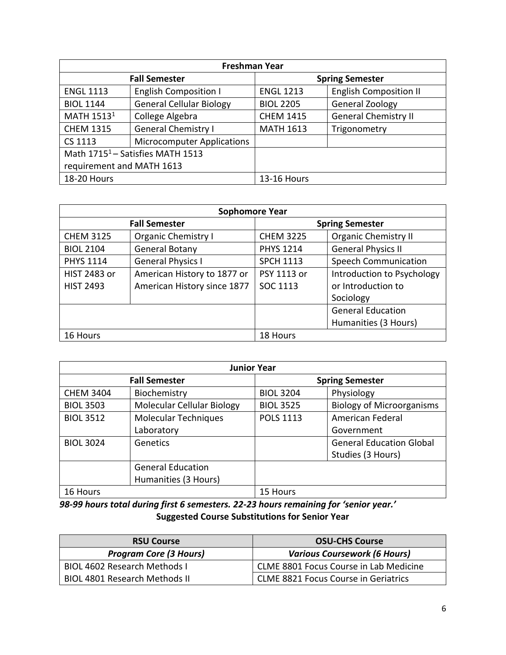| <b>Freshman Year</b>                         |                                   |                        |                               |  |
|----------------------------------------------|-----------------------------------|------------------------|-------------------------------|--|
| <b>Fall Semester</b>                         |                                   | <b>Spring Semester</b> |                               |  |
| <b>ENGL 1113</b>                             | <b>English Composition I</b>      | <b>ENGL 1213</b>       | <b>English Composition II</b> |  |
| <b>BIOL 1144</b>                             | <b>General Cellular Biology</b>   | <b>BIOL 2205</b>       | <b>General Zoology</b>        |  |
| MATH 1513 <sup>1</sup>                       | College Algebra                   | <b>CHEM 1415</b>       | <b>General Chemistry II</b>   |  |
| <b>CHEM 1315</b>                             | <b>General Chemistry I</b>        | <b>MATH 1613</b>       | Trigonometry                  |  |
| CS 1113                                      | <b>Microcomputer Applications</b> |                        |                               |  |
| Math 1715 <sup>1</sup> - Satisfies MATH 1513 |                                   |                        |                               |  |
| requirement and MATH 1613                    |                                   |                        |                               |  |
| <b>18-20 Hours</b>                           |                                   | <b>13-16 Hours</b>     |                               |  |

| <b>Sophomore Year</b> |                             |                        |                             |  |
|-----------------------|-----------------------------|------------------------|-----------------------------|--|
| <b>Fall Semester</b>  |                             | <b>Spring Semester</b> |                             |  |
| <b>CHEM 3125</b>      | <b>Organic Chemistry I</b>  | <b>CHEM 3225</b>       | <b>Organic Chemistry II</b> |  |
| <b>BIOL 2104</b>      | <b>General Botany</b>       | <b>PHYS 1214</b>       | <b>General Physics II</b>   |  |
| <b>PHYS 1114</b>      | <b>General Physics I</b>    | <b>SPCH 1113</b>       | <b>Speech Communication</b> |  |
| <b>HIST 2483 or</b>   | American History to 1877 or | PSY 1113 or            | Introduction to Psychology  |  |
| <b>HIST 2493</b>      | American History since 1877 | SOC 1113               | or Introduction to          |  |
|                       |                             |                        | Sociology                   |  |
|                       |                             |                        | <b>General Education</b>    |  |
|                       |                             |                        | Humanities (3 Hours)        |  |
| 16 Hours              |                             | 18 Hours               |                             |  |

| <b>Junior Year</b>   |                             |                        |                                  |  |
|----------------------|-----------------------------|------------------------|----------------------------------|--|
| <b>Fall Semester</b> |                             | <b>Spring Semester</b> |                                  |  |
| <b>CHEM 3404</b>     | Biochemistry                | <b>BIOL 3204</b>       | Physiology                       |  |
| <b>BIOL 3503</b>     | Molecular Cellular Biology  | <b>BIOL 3525</b>       | <b>Biology of Microorganisms</b> |  |
| <b>BIOL 3512</b>     | <b>Molecular Techniques</b> | <b>POLS 1113</b>       | American Federal                 |  |
|                      | Laboratory                  |                        | Government                       |  |
| <b>BIOL 3024</b>     | Genetics                    |                        | <b>General Education Global</b>  |  |
|                      |                             |                        | Studies (3 Hours)                |  |
|                      | <b>General Education</b>    |                        |                                  |  |
|                      | Humanities (3 Hours)        |                        |                                  |  |
| 16 Hours             |                             | 15 Hours               |                                  |  |

*98-99 hours total during first 6 semesters. 22-23 hours remaining for 'senior year.'* **Suggested Course Substitutions for Senior Year**

| <b>RSU Course</b>                    | <b>OSU-CHS Course</b>                       |  |
|--------------------------------------|---------------------------------------------|--|
| <b>Program Core (3 Hours)</b>        | <b>Various Coursework (6 Hours)</b>         |  |
| <b>BIOL 4602 Research Methods I</b>  | CLME 8801 Focus Course in Lab Medicine      |  |
| <b>BIOL 4801 Research Methods II</b> | <b>CLME 8821 Focus Course in Geriatrics</b> |  |